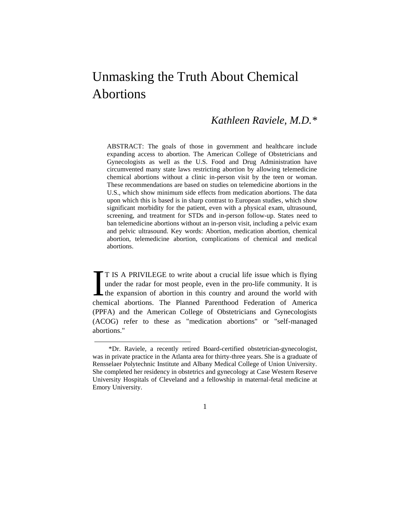## Unmasking the Truth About Chemical Abortions

## *Kathleen Raviele, M.D.\**

ABSTRACT: The goals of those in government and healthcare include expanding access to abortion. The American College of Obstetricians and Gynecologists as well as the U.S. Food and Drug Administration have circumvented many state laws restricting abortion by allowing telemedicine chemical abortions without a clinic in-person visit by the teen or woman. These recommendations are based on studies on telemedicine abortions in the U.S., which show minimum side effects from medication abortions. The data upon which this is based is in sharp contrast to European studies, which show significant morbidity for the patient, even with a physical exam, ultrasound, screening, and treatment for STDs and in-person follow-up. States need to ban telemedicine abortions without an in-person visit, including a pelvic exam and pelvic ultrasound. Key words: Abortion, medication abortion, chemical abortion, telemedicine abortion, complications of chemical and medical abortions.

T IS A PRIVILEGE to write about a crucial life issue which is flying under the radar for most people, even in the pro-life community. It is the expansion of abortion in this country and around the world with T IS A PRIVILEGE to write about a crucial life issue which is flying under the radar for most people, even in the pro-life community. It is the expansion of abortion in this country and around the world with chemical abort (PPFA) and the American College of Obstetricians and Gynecologists (ACOG) refer to these as "medication abortions" or "self-managed abortions."

1

<sup>\*</sup>Dr. Raviele, a recently retired Board-certified obstetrician-gynecologist, was in private practice in the Atlanta area for thirty-three years. She is a graduate of Rensselaer Polytechnic Institute and Albany Medical College of Union University. She completed her residency in obstetrics and gynecology at Case Western Reserve University Hospitals of Cleveland and a fellowship in maternal-fetal medicine at Emory University.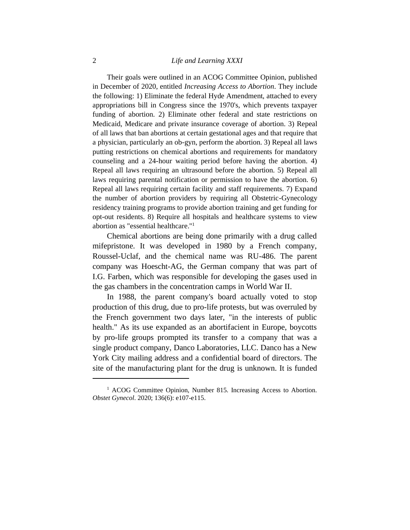## 2 *Life and Learning XXXI*

Their goals were outlined in an ACOG Committee Opinion, published in December of 2020, entitled *Increasing Access to Abortion*. They include the following: 1) Eliminate the federal Hyde Amendment, attached to every appropriations bill in Congress since the 1970's, which prevents taxpayer funding of abortion. 2) Eliminate other federal and state restrictions on Medicaid, Medicare and private insurance coverage of abortion. 3) Repeal of all laws that ban abortions at certain gestational ages and that require that a physician, particularly an ob-gyn, perform the abortion. 3) Repeal all laws putting restrictions on chemical abortions and requirements for mandatory counseling and a 24-hour waiting period before having the abortion. 4) Repeal all laws requiring an ultrasound before the abortion. 5) Repeal all laws requiring parental notification or permission to have the abortion. 6) Repeal all laws requiring certain facility and staff requirements. 7) Expand the number of abortion providers by requiring all Obstetric-Gynecology residency training programs to provide abortion training and get funding for opt-out residents. 8) Require all hospitals and healthcare systems to view abortion as "essential healthcare."<sup>1</sup>

Chemical abortions are being done primarily with a drug called mifepristone. It was developed in 1980 by a French company, Roussel-Uclaf, and the chemical name was RU-486. The parent company was Hoescht-AG, the German company that was part of I.G. Farben, which was responsible for developing the gases used in the gas chambers in the concentration camps in World War II.

In 1988, the parent company's board actually voted to stop production of this drug, due to pro-life protests, but was overruled by the French government two days later, "in the interests of public health." As its use expanded as an abortifacient in Europe, boycotts by pro-life groups prompted its transfer to a company that was a single product company, Danco Laboratories, LLC. Danco has a New York City mailing address and a confidential board of directors. The site of the manufacturing plant for the drug is unknown. It is funded

<sup>&</sup>lt;sup>1</sup> ACOG Committee Opinion, Number 815. Increasing Access to Abortion. *Obstet Gynecol*. 2020; 136(6): e107-e115.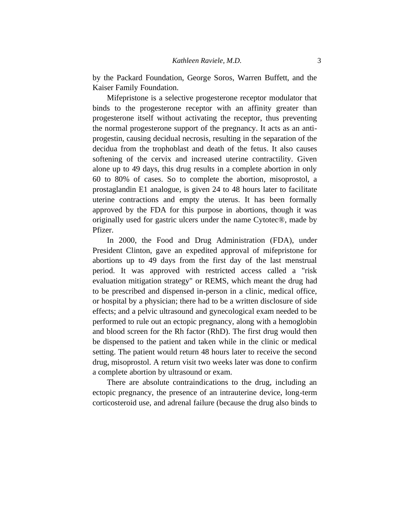by the Packard Foundation, George Soros, Warren Buffett, and the Kaiser Family Foundation.

Mifepristone is a selective progesterone receptor modulator that binds to the progesterone receptor with an affinity greater than progesterone itself without activating the receptor, thus preventing the normal progesterone support of the pregnancy. It acts as an antiprogestin, causing decidual necrosis, resulting in the separation of the decidua from the trophoblast and death of the fetus. It also causes softening of the cervix and increased uterine contractility. Given alone up to 49 days, this drug results in a complete abortion in only 60 to 80% of cases. So to complete the abortion, misoprostol, a prostaglandin E1 analogue, is given 24 to 48 hours later to facilitate uterine contractions and empty the uterus. It has been formally approved by the FDA for this purpose in abortions, though it was originally used for gastric ulcers under the name Cytotec®, made by Pfizer.

In 2000, the Food and Drug Administration (FDA), under President Clinton, gave an expedited approval of mifepristone for abortions up to 49 days from the first day of the last menstrual period. It was approved with restricted access called a "risk evaluation mitigation strategy" or REMS, which meant the drug had to be prescribed and dispensed in-person in a clinic, medical office, or hospital by a physician; there had to be a written disclosure of side effects; and a pelvic ultrasound and gynecological exam needed to be performed to rule out an ectopic pregnancy, along with a hemoglobin and blood screen for the Rh factor (RhD). The first drug would then be dispensed to the patient and taken while in the clinic or medical setting. The patient would return 48 hours later to receive the second drug, misoprostol. A return visit two weeks later was done to confirm a complete abortion by ultrasound or exam.

There are absolute contraindications to the drug, including an ectopic pregnancy, the presence of an intrauterine device, long-term corticosteroid use, and adrenal failure (because the drug also binds to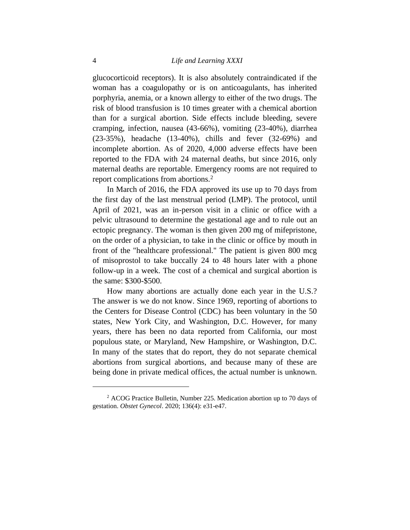glucocorticoid receptors). It is also absolutely contraindicated if the woman has a coagulopathy or is on anticoagulants, has inherited porphyria, anemia, or a known allergy to either of the two drugs. The risk of blood transfusion is 10 times greater with a chemical abortion than for a surgical abortion. Side effects include bleeding, severe cramping, infection, nausea (43-66%), vomiting (23-40%), diarrhea (23-35%), headache (13-40%), chills and fever (32-69%) and incomplete abortion. As of 2020, 4,000 adverse effects have been reported to the FDA with 24 maternal deaths, but since 2016, only maternal deaths are reportable. Emergency rooms are not required to report complications from abortions.<sup>2</sup>

In March of 2016, the FDA approved its use up to 70 days from the first day of the last menstrual period (LMP). The protocol, until April of 2021, was an in-person visit in a clinic or office with a pelvic ultrasound to determine the gestational age and to rule out an ectopic pregnancy. The woman is then given 200 mg of mifepristone, on the order of a physician, to take in the clinic or office by mouth in front of the "healthcare professional." The patient is given 800 mcg of misoprostol to take buccally 24 to 48 hours later with a phone follow-up in a week. The cost of a chemical and surgical abortion is the same: \$300-\$500.

How many abortions are actually done each year in the U.S.? The answer is we do not know. Since 1969, reporting of abortions to the Centers for Disease Control (CDC) has been voluntary in the 50 states, New York City, and Washington, D.C. However, for many years, there has been no data reported from California, our most populous state, or Maryland, New Hampshire, or Washington, D.C. In many of the states that do report, they do not separate chemical abortions from surgical abortions, and because many of these are being done in private medical offices, the actual number is unknown.

<sup>2</sup> ACOG Practice Bulletin, Number 225. Medication abortion up to 70 days of gestation. *Obstet Gynecol*. 2020; 136(4): e31-e47.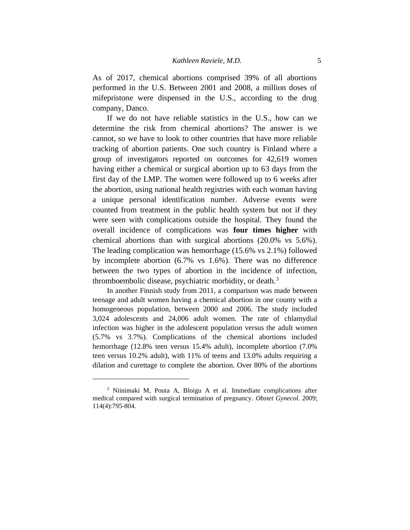As of 2017, chemical abortions comprised 39% of all abortions performed in the U.S. Between 2001 and 2008, a million doses of mifepristone were dispensed in the U.S., according to the drug company, Danco.

If we do not have reliable statistics in the U.S., how can we determine the risk from chemical abortions? The answer is we cannot, so we have to look to other countries that have more reliable tracking of abortion patients. One such country is Finland where a group of investigators reported on outcomes for 42,619 women having either a chemical or surgical abortion up to 63 days from the first day of the LMP. The women were followed up to 6 weeks after the abortion, using national health registries with each woman having a unique personal identification number. Adverse events were counted from treatment in the public health system but not if they were seen with complications outside the hospital. They found the overall incidence of complications was **four times higher** with chemical abortions than with surgical abortions (20.0% vs 5.6%). The leading complication was hemorrhage (15.6% vs 2.1%) followed by incomplete abortion (6.7% vs 1.6%). There was no difference between the two types of abortion in the incidence of infection, thromboembolic disease, psychiatric morbidity, or death.<sup>3</sup>

In another Finnish study from 2011, a comparison was made between teenage and adult women having a chemical abortion in one county with a homogeneous population, between 2000 and 2006. The study included 3,024 adolescents and 24,006 adult women. The rate of chlamydial infection was higher in the adolescent population versus the adult women (5.7% vs 3.7%). Complications of the chemical abortions included hemorrhage (12.8% teen versus 15.4% adult), incomplete abortion (7.0% teen versus 10.2% adult), with 11% of teens and 13.0% adults requiring a dilation and curettage to complete the abortion. Over 80% of the abortions

<sup>&</sup>lt;sup>3</sup> Niinimaki M, Pouta A, Bloigu A et al. Immediate complications after medical compared with surgical termination of pregnancy. *Obstet Gynecol*. 2009; 114(4):795-804.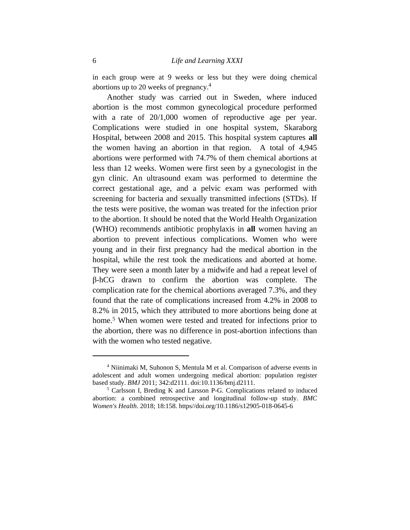in each group were at 9 weeks or less but they were doing chemical abortions up to 20 weeks of pregnancy.<sup>4</sup>

Another study was carried out in Sweden, where induced abortion is the most common gynecological procedure performed with a rate of 20/1,000 women of reproductive age per year. Complications were studied in one hospital system, Skaraborg Hospital, between 2008 and 2015. This hospital system captures **all** the women having an abortion in that region. A total of 4,945 abortions were performed with 74.7% of them chemical abortions at less than 12 weeks. Women were first seen by a gynecologist in the gyn clinic. An ultrasound exam was performed to determine the correct gestational age, and a pelvic exam was performed with screening for bacteria and sexually transmitted infections (STDs). If the tests were positive, the woman was treated for the infection prior to the abortion. It should be noted that the World Health Organization (WHO) recommends antibiotic prophylaxis in **all** women having an abortion to prevent infectious complications. Women who were young and in their first pregnancy had the medical abortion in the hospital, while the rest took the medications and aborted at home. They were seen a month later by a midwife and had a repeat level of β-hCG drawn to confirm the abortion was complete. The complication rate for the chemical abortions averaged 7.3%, and they found that the rate of complications increased from 4.2% in 2008 to 8.2% in 2015, which they attributed to more abortions being done at home.<sup>5</sup> When women were tested and treated for infections prior to the abortion, there was no difference in post-abortion infections than with the women who tested negative.

<sup>4</sup> Niinimaki M, Suhonon S, Mentula M et al. Comparison of adverse events in adolescent and adult women undergoing medical abortion: population register based study. *BMJ* 2011; 342:d2111. doi:10.1136/bmj.d2111.

<sup>5</sup> Carlsson I, Breding K and Larsson P-G. Complications related to induced abortion: a combined retrospective and longitudinal follow-up study. *BMC Women's Health*. 2018; 18:158. https//doi.org/10.1186/s12905-018-0645-6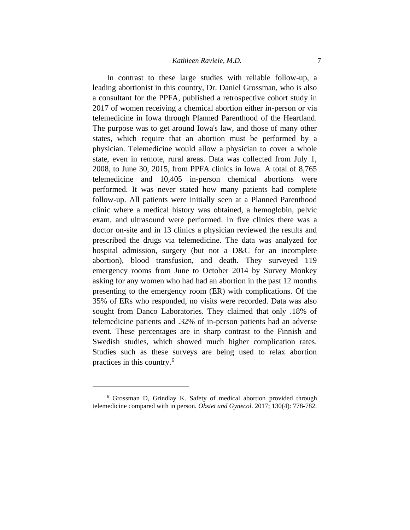In contrast to these large studies with reliable follow-up, a leading abortionist in this country, Dr. Daniel Grossman, who is also a consultant for the PPFA, published a retrospective cohort study in 2017 of women receiving a chemical abortion either in-person or via telemedicine in Iowa through Planned Parenthood of the Heartland. The purpose was to get around Iowa's law, and those of many other states, which require that an abortion must be performed by a physician. Telemedicine would allow a physician to cover a whole state, even in remote, rural areas. Data was collected from July 1, 2008, to June 30, 2015, from PPFA clinics in Iowa. A total of 8,765 telemedicine and 10,405 in-person chemical abortions were performed. It was never stated how many patients had complete follow-up. All patients were initially seen at a Planned Parenthood clinic where a medical history was obtained, a hemoglobin, pelvic exam, and ultrasound were performed. In five clinics there was a doctor on-site and in 13 clinics a physician reviewed the results and prescribed the drugs via telemedicine. The data was analyzed for hospital admission, surgery (but not a D&C for an incomplete abortion), blood transfusion, and death. They surveyed 119 emergency rooms from June to October 2014 by Survey Monkey asking for any women who had had an abortion in the past 12 months presenting to the emergency room (ER) with complications. Of the 35% of ERs who responded, no visits were recorded. Data was also sought from Danco Laboratories. They claimed that only .18% of telemedicine patients and .32% of in-person patients had an adverse event. These percentages are in sharp contrast to the Finnish and Swedish studies, which showed much higher complication rates. Studies such as these surveys are being used to relax abortion practices in this country.<sup>6</sup>

<sup>6</sup> Grossman D, Grindlay K. Safety of medical abortion provided through telemedicine compared with in person. *Obstet and Gynecol*. 2017; 130(4): 778-782.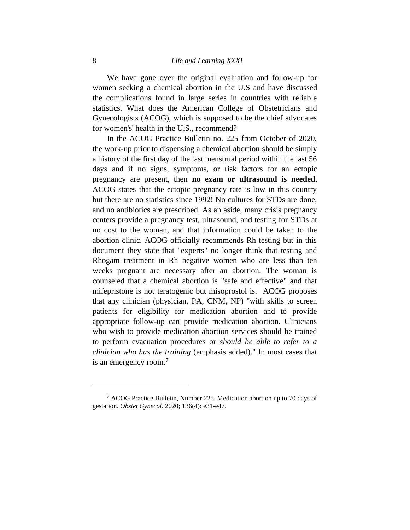We have gone over the original evaluation and follow-up for women seeking a chemical abortion in the U.S and have discussed the complications found in large series in countries with reliable statistics. What does the American College of Obstetricians and Gynecologists (ACOG), which is supposed to be the chief advocates for women's' health in the U.S., recommend?

In the ACOG Practice Bulletin no. 225 from October of 2020, the work-up prior to dispensing a chemical abortion should be simply a history of the first day of the last menstrual period within the last 56 days and if no signs, symptoms, or risk factors for an ectopic pregnancy are present, then **no exam or ultrasound is needed**. ACOG states that the ectopic pregnancy rate is low in this country but there are no statistics since 1992! No cultures for STDs are done, and no antibiotics are prescribed. As an aside, many crisis pregnancy centers provide a pregnancy test, ultrasound, and testing for STDs at no cost to the woman, and that information could be taken to the abortion clinic. ACOG officially recommends Rh testing but in this document they state that "experts" no longer think that testing and Rhogam treatment in Rh negative women who are less than ten weeks pregnant are necessary after an abortion. The woman is counseled that a chemical abortion is "safe and effective" and that mifepristone is not teratogenic but misoprostol is. ACOG proposes that any clinician (physician, PA, CNM, NP) "with skills to screen patients for eligibility for medication abortion and to provide appropriate follow-up can provide medication abortion. Clinicians who wish to provide medication abortion services should be trained to perform evacuation procedures or *should be able to refer to a clinician who has the training* (emphasis added)." In most cases that is an emergency room.<sup>7</sup>

<sup>7</sup> ACOG Practice Bulletin, Number 225. Medication abortion up to 70 days of gestation. *Obstet Gynecol*. 2020; 136(4): e31-e47.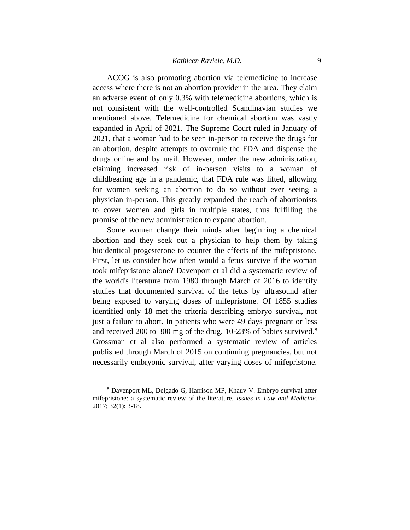ACOG is also promoting abortion via telemedicine to increase access where there is not an abortion provider in the area. They claim an adverse event of only 0.3% with telemedicine abortions, which is not consistent with the well-controlled Scandinavian studies we mentioned above. Telemedicine for chemical abortion was vastly expanded in April of 2021. The Supreme Court ruled in January of 2021, that a woman had to be seen in-person to receive the drugs for an abortion, despite attempts to overrule the FDA and dispense the drugs online and by mail. However, under the new administration, claiming increased risk of in-person visits to a woman of childbearing age in a pandemic, that FDA rule was lifted, allowing for women seeking an abortion to do so without ever seeing a physician in-person. This greatly expanded the reach of abortionists to cover women and girls in multiple states, thus fulfilling the promise of the new administration to expand abortion.

Some women change their minds after beginning a chemical abortion and they seek out a physician to help them by taking bioidentical progesterone to counter the effects of the mifepristone. First, let us consider how often would a fetus survive if the woman took mifepristone alone? Davenport et al did a systematic review of the world's literature from 1980 through March of 2016 to identify studies that documented survival of the fetus by ultrasound after being exposed to varying doses of mifepristone. Of 1855 studies identified only 18 met the criteria describing embryo survival, not just a failure to abort. In patients who were 49 days pregnant or less and received 200 to 300 mg of the drug, 10-23% of babies survived.<sup>8</sup> Grossman et al also performed a systematic review of articles published through March of 2015 on continuing pregnancies, but not necessarily embryonic survival, after varying doses of mifepristone.

<sup>8</sup> Davenport ML, Delgado G, Harrison MP, Khauv V. Embryo survival after mifepristone: a systematic review of the literature. *Issues in Law and Medicine.*  2017; 32(1): 3-18.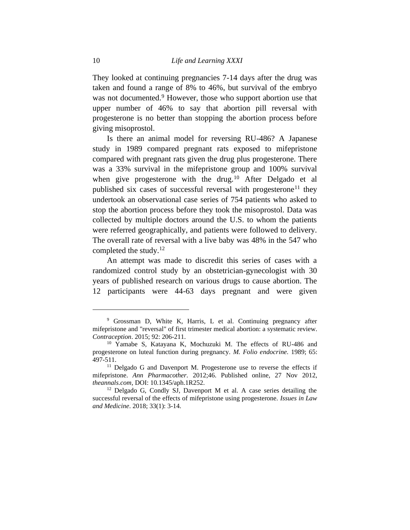They looked at continuing pregnancies 7-14 days after the drug was taken and found a range of 8% to 46%, but survival of the embryo was not documented.<sup>9</sup> However, those who support abortion use that upper number of 46% to say that abortion pill reversal with progesterone is no better than stopping the abortion process before giving misoprostol.

Is there an animal model for reversing RU-486? A Japanese study in 1989 compared pregnant rats exposed to mifepristone compared with pregnant rats given the drug plus progesterone. There was a 33% survival in the mifepristone group and 100% survival when give progesterone with the drug.<sup>10</sup> After Delgado et al published six cases of successful reversal with progesterone<sup>11</sup> they undertook an observational case series of 754 patients who asked to stop the abortion process before they took the misoprostol. Data was collected by multiple doctors around the U.S. to whom the patients were referred geographically, and patients were followed to delivery. The overall rate of reversal with a live baby was 48% in the 547 who completed the study.<sup>12</sup>

An attempt was made to discredit this series of cases with a randomized control study by an obstetrician-gynecologist with 30 years of published research on various drugs to cause abortion. The 12 participants were 44-63 days pregnant and were given

<sup>9</sup> Grossman D, White K, Harris, L et al. Continuing pregnancy after mifepristone and "reversal" of first trimester medical abortion: a systematic review*. Contraception*. 2015; 92: 206-211.

<sup>10</sup> Yamabe S, Katayana K, Mochuzuki M. The effects of RU-486 and progesterone on luteal function during pregnancy*. M. Folio endocrine.* 1989; 65: 497-511.

<sup>&</sup>lt;sup>11</sup> Delgado G and Davenport M. Progesterone use to reverse the effects if mifepristone. *Ann Pharmacother.* 2012;46. Published online, 27 Nov 2012, *theannals.com*, DOI: 10.1345/aph.1R252.

<sup>12</sup> Delgado G, Condly SJ, Davenport M et al. A case series detailing the successful reversal of the effects of mifepristone using progesterone. *Issues in Law and Medicine*. 2018; 33(1): 3-14.